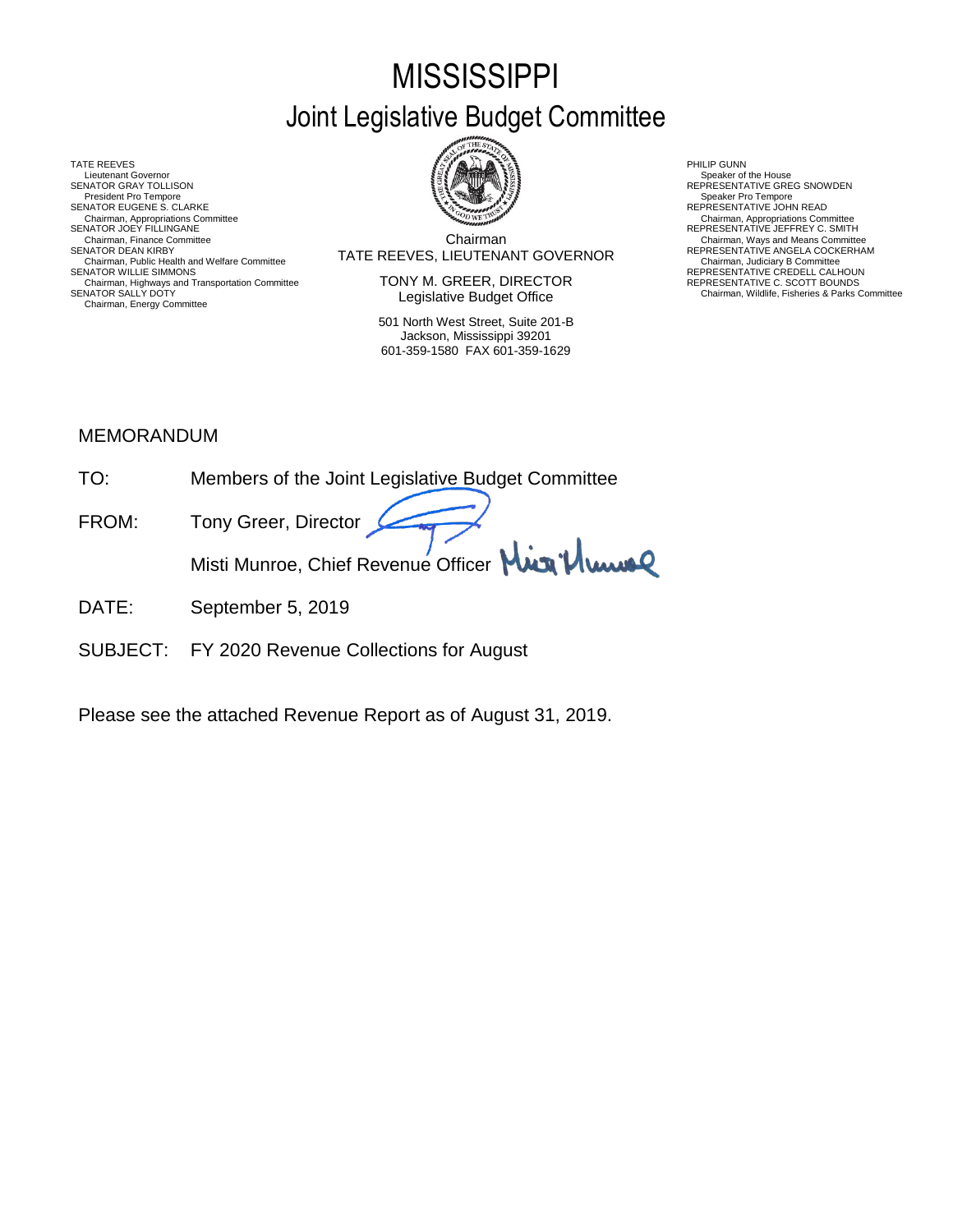# **MISSISSIPPI** Joint Legislative Budget Committee

TATE REEVES THE REDUCT THE REEVES AND RELATED AS A RELATED MALL OF LATER REEVES AND RELATED AT A RELATED MALL OF LATER SUMMARY AND RELATED AT A RELATED AND RELATED AT A RELATED MALL OF LATER SUMMARY AND RELATED AT A RELAT Lieutenant Governor<br>SENATOR GRAY TOLLISON President Pro Tempore SENATOR EUGENE S. CLARKE<br>Chairman, Appropriations Committee<br>SENATOR JOEY FILLINGANE Chairman, Appropriations Committee Chairman, Appropriations Committee<br>SENATOR JOEY FILLINGANE REPRESENTATIVE JEFFREY C. SMITH Chairman, Public Health and Welfare Committee **SENATOR MUST AT A LIGENTY CONTINUM CONTINUM**<br>SENATOR WILLIE SIMMONS **REPRESENTATIVE CREDELL CALHOUN**<br>Chairman, Highways and Transportation Committee **SENATOR** CREDELL CALHOUN Chairman, Highways and Transportation Committee REPRESENTATIVE C. SCOTT BOUNDS SENATOR SALLY DOTY Chairman, Wildlife, Fisheries & Parks Committee Chairman, Energy Committee



Chairman SENATOR DEAN KIRBY (SENATOR DEAN KIRBY) TATE REEVES, LIEUTENANT GOVERNOR REPRESENTATIVE ANGELA COCKERHAM<br>Chairman, Judiciary B Committee Committee Committee Committee Committee Committee Committee Committee Committe Chairman, Finance Committee **Chairman**<br>Chairman Committee **Chairman** Committee **Chairman** COVERNOR REPRESENTATIVE ANGELA COCKERHAM

> TONY M. GREER, DIRECTOR Legislative Budget Office

501 North West Street, Suite 201-B Jackson, Mississippi 39201 601-359-1580 FAX 601-359-1629

Speaker of the House<br>REPRESENTATIVE GREG SNOWDEN<br>Speaker Pro Tempore

#### MEMORANDUM

- TO: Members of the Joint Legislative Budget Committee FROM: Tony Greer, Director Misti Munroe, Chief Revenue Officer Mun 'Muns
- DATE: September 5, 2019
- SUBJECT: FY 2020 Revenue Collections for August

Please see the attached Revenue Report as of August 31, 2019.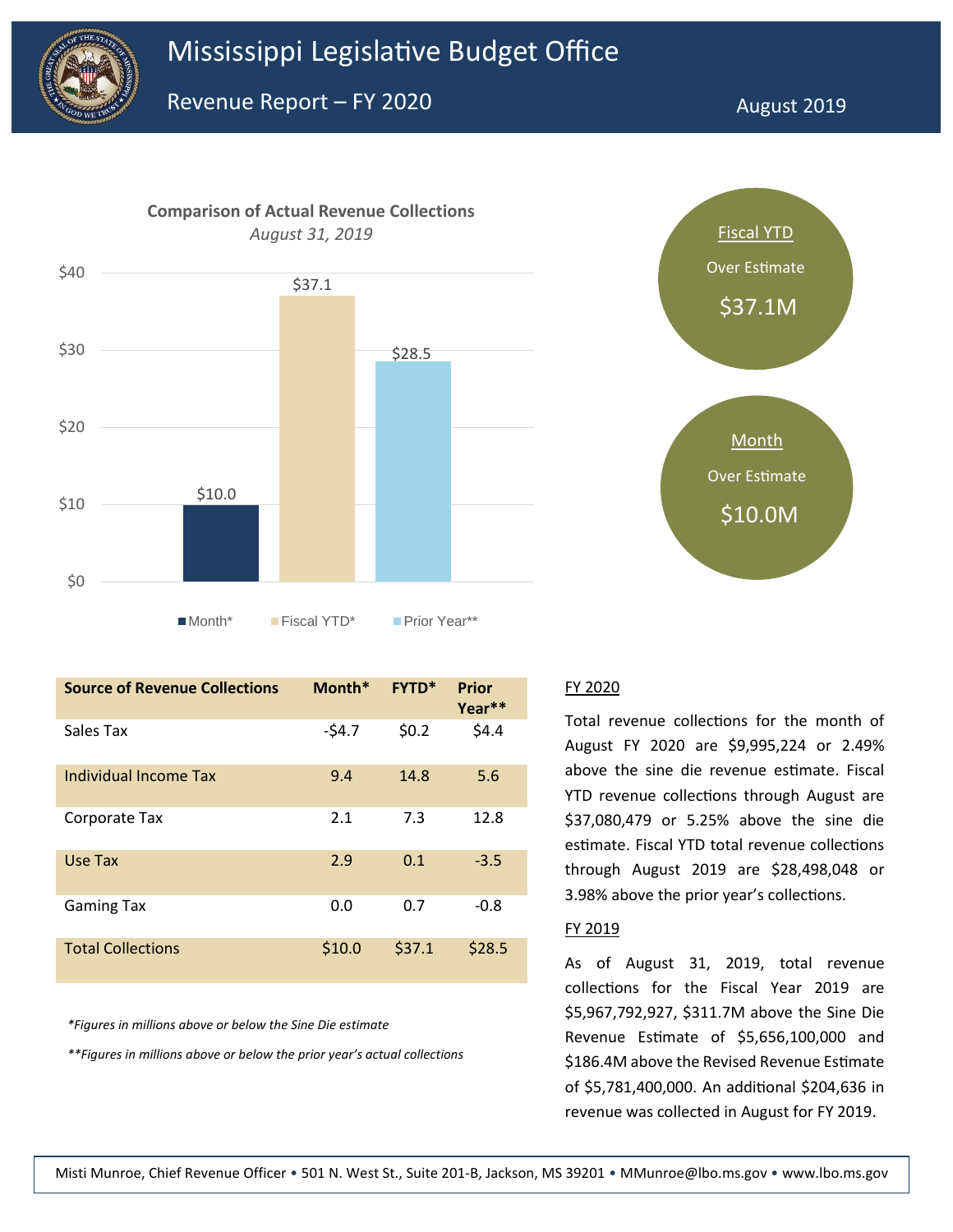



| <b>Source of Revenue Collections</b> | Month*  | <b>FYTD*</b> | <b>Prior</b><br>Year** |
|--------------------------------------|---------|--------------|------------------------|
| Sales Tax                            | $-54.7$ | \$0.2        | \$4.4                  |
| Individual Income Tax                | 9.4     | 14.8         | 5.6                    |
| Corporate Tax                        | 2.1     | 7.3          | 12.8                   |
| Use Tax                              | 2.9     | 0.1          | $-3.5$                 |
| <b>Gaming Tax</b>                    | 0.0     | 0.7          | $-0.8$                 |
| <b>Total Collections</b>             | \$10.0  | \$37.1       | \$28.5                 |

*\*Figures in millions above or below the Sine Die estimate*

*\*\*Figures in millions above or below the prior year's actual collections*



Total revenue collections for the month of August FY 2020 are \$9,995,224 or 2.49% above the sine die revenue estimate. Fiscal YTD revenue collections through August are \$37,080,479 or 5.25% above the sine die estimate. Fiscal YTD total revenue collections through August 2019 are \$28,498,048 or 3.98% above the prior year's collections.

#### FY 2019

As of August 31, 2019, total revenue collections for the Fiscal Year 2019 are \$5,967,792,927, \$311.7M above the Sine Die Revenue Estimate of \$5,656,100,000 and \$186.4M above the Revised Revenue Estimate of \$5,781,400,000. An additional \$204,636 in revenue was collected in August for FY 2019.

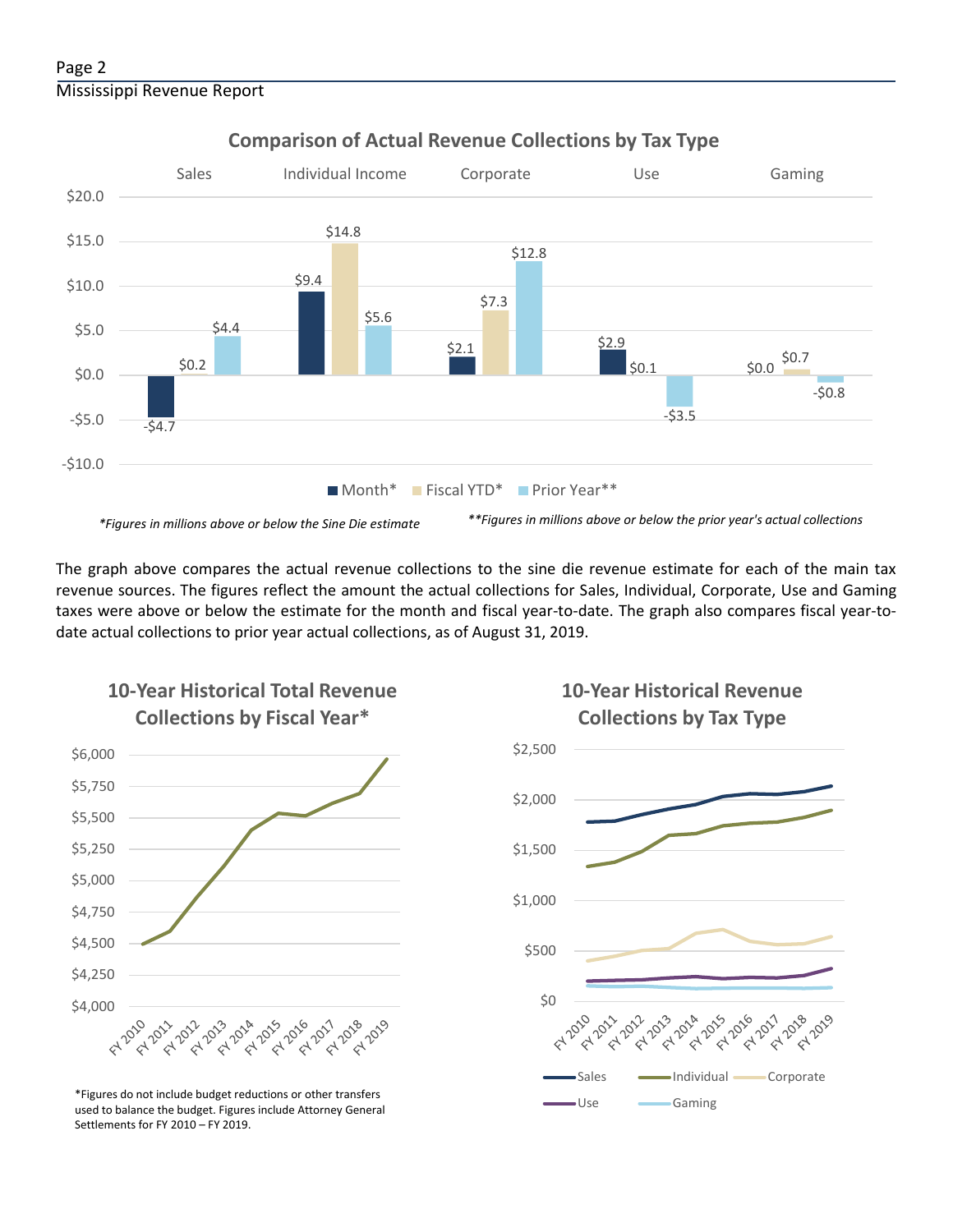#### Page 2 Mississippi Revenue Report



### **Comparison of Actual Revenue Collections by Tax Type**



The graph above compares the actual revenue collections to the sine die revenue estimate for each of the main tax revenue sources. The figures reflect the amount the actual collections for Sales, Individual, Corporate, Use and Gaming taxes were above or below the estimate for the month and fiscal year-to-date. The graph also compares fiscal year-todate actual collections to prior year actual collections, as of August 31, 2019.



**10-Year Historical Total Revenue** 

Use Gaming \*Figures do not include budget reductions or other transfers used to balance the budget. Figures include Attorney General Settlements for FY 2010 – FY 2019.



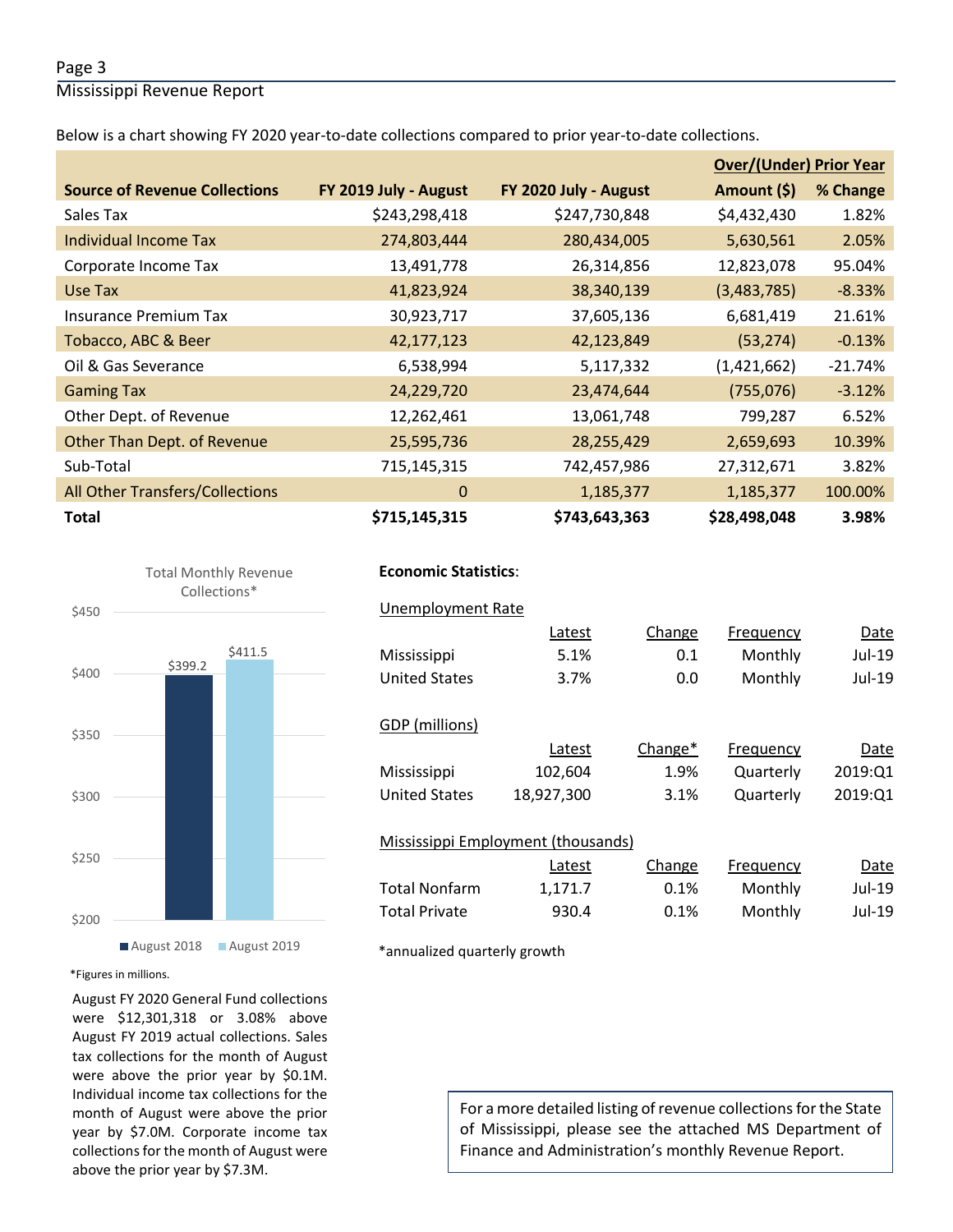#### Page 3

Mississippi Revenue Report

Below is a chart showing FY 2020 year-to-date collections compared to prior year-to-date collections.

|                                      |                       |                       | <b>Over/(Under) Prior Year</b> |           |
|--------------------------------------|-----------------------|-----------------------|--------------------------------|-----------|
| <b>Source of Revenue Collections</b> | FY 2019 July - August | FY 2020 July - August | Amount (\$)                    | % Change  |
| Sales Tax                            | \$243,298,418         | \$247,730,848         | \$4,432,430                    | 1.82%     |
| Individual Income Tax                | 274,803,444           | 280,434,005           | 5,630,561                      | 2.05%     |
| Corporate Income Tax                 | 13,491,778            | 26,314,856            | 12,823,078                     | 95.04%    |
| Use Tax                              | 41,823,924            | 38,340,139            | (3,483,785)                    | $-8.33%$  |
| Insurance Premium Tax                | 30,923,717            | 37,605,136            | 6,681,419                      | 21.61%    |
| Tobacco, ABC & Beer                  | 42,177,123            | 42,123,849            | (53, 274)                      | $-0.13%$  |
| Oil & Gas Severance                  | 6,538,994             | 5,117,332             | (1,421,662)                    | $-21.74%$ |
| <b>Gaming Tax</b>                    | 24,229,720            | 23,474,644            | (755,076)                      | $-3.12%$  |
| Other Dept. of Revenue               | 12,262,461            | 13,061,748            | 799,287                        | 6.52%     |
| Other Than Dept. of Revenue          | 25,595,736            | 28,255,429            | 2,659,693                      | 10.39%    |
| Sub-Total                            | 715,145,315           | 742,457,986           | 27,312,671                     | 3.82%     |
| All Other Transfers/Collections      | $\Omega$              | 1,185,377             | 1,185,377                      | 100.00%   |
| <b>Total</b>                         | \$715,145,315         | \$743,643,363         | \$28,498,048                   | 3.98%     |



#### August 2018 August 2019

\*Figures in millions.

August FY 2020 General Fund collections were \$12,301,318 or 3.08% above August FY 2019 actual collections. Sales tax collections for the month of August were above the prior year by \$0.1M. Individual income tax collections for the month of August were above the prior year by \$7.0M. Corporate income tax collections for the month of August were above the prior year by \$7.3M.

#### **Economic Statistics**:  **Economic Statistics**:

|                      | Latest                             | Change              | Frequency        | Date    |
|----------------------|------------------------------------|---------------------|------------------|---------|
| Mississippi          | 5.1%                               | 0.1                 | Monthly          | Jul-19  |
| <b>United States</b> | 3.7%                               | 0.0                 | Monthly          | Jul-19  |
| GDP (millions)       |                                    |                     |                  |         |
|                      | Latest                             | Change <sup>*</sup> | Frequency        | Date    |
| Mississippi          | 102,604                            | 1.9%                | Quarterly        | 2019:01 |
| <b>United States</b> | 18,927,300                         | 3.1%                | Quarterly        | 2019:01 |
|                      | Mississippi Employment (thousands) |                     |                  |         |
|                      | Latest                             | Change              | <b>Frequency</b> | Date    |
| Total Nonfarm        | 1,171.7                            | 0.1%                | Monthly          | Jul-19  |
| <b>Total Private</b> | 930.4                              | 0.1%                | Monthly          | Jul-19  |

For a more detailed listing of revenue collections for the State of Mississippi, please see the attached MS Department of Finance and Administration's monthly Revenue Report.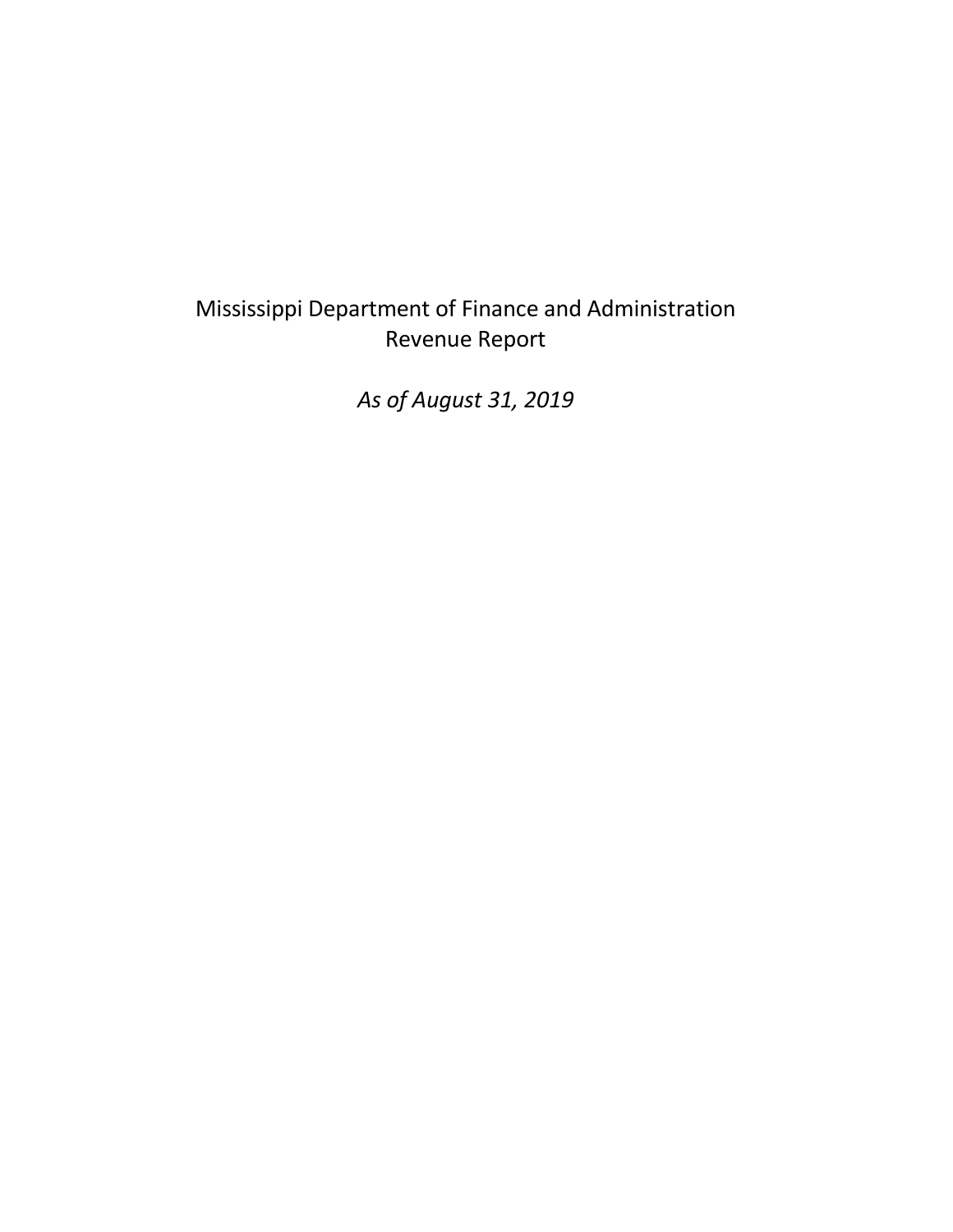## Mississippi Department of Finance and Administration Revenue Report

*As of August 31, 2019*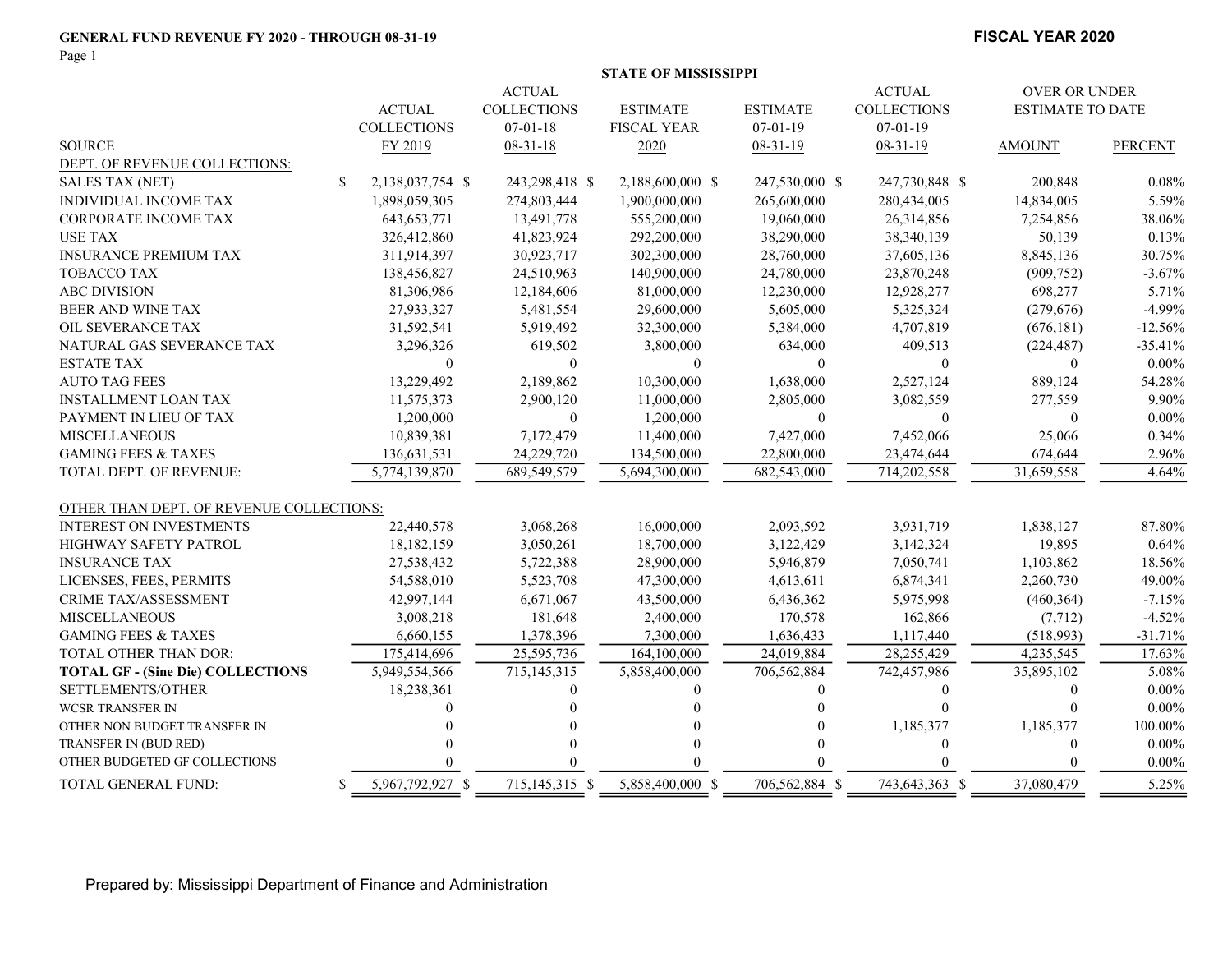#### GENERAL FUND REVENUE FY 2020 - THROUGH 08-31-19 FISCAL YEAR 2020

Page 1

|                                          |     |                    |                    | <b>STATE OF MISSISSIPPI</b> |                  |                    |                         |                |
|------------------------------------------|-----|--------------------|--------------------|-----------------------------|------------------|--------------------|-------------------------|----------------|
|                                          |     |                    | <b>ACTUAL</b>      |                             |                  | <b>ACTUAL</b>      | <b>OVER OR UNDER</b>    |                |
|                                          |     | <b>ACTUAL</b>      | <b>COLLECTIONS</b> | <b>ESTIMATE</b>             | <b>ESTIMATE</b>  | <b>COLLECTIONS</b> | <b>ESTIMATE TO DATE</b> |                |
|                                          |     | <b>COLLECTIONS</b> | $07 - 01 - 18$     | <b>FISCAL YEAR</b>          | $07-01-19$       | $07 - 01 - 19$     |                         |                |
| <b>SOURCE</b>                            |     | FY 2019            | $08-31-18$         | 2020                        | $08-31-19$       | 08-31-19           | <b>AMOUNT</b>           | <b>PERCENT</b> |
| DEPT. OF REVENUE COLLECTIONS:            |     |                    |                    |                             |                  |                    |                         |                |
| <b>SALES TAX (NET)</b>                   | \$  | 2,138,037,754 \$   | 243,298,418 \$     | 2,188,600,000 \$            | 247,530,000 \$   | 247,730,848 \$     | 200,848                 | 0.08%          |
| <b>INDIVIDUAL INCOME TAX</b>             |     | 1,898,059,305      | 274,803,444        | 1,900,000,000               | 265,600,000      | 280,434,005        | 14,834,005              | 5.59%          |
| CORPORATE INCOME TAX                     |     | 643, 653, 771      | 13,491,778         | 555,200,000                 | 19,060,000       | 26,314,856         | 7,254,856               | 38.06%         |
| <b>USE TAX</b>                           |     | 326,412,860        | 41,823,924         | 292,200,000                 | 38,290,000       | 38,340,139         | 50,139                  | 0.13%          |
| <b>INSURANCE PREMIUM TAX</b>             |     | 311,914,397        | 30,923,717         | 302,300,000                 | 28,760,000       | 37,605,136         | 8,845,136               | 30.75%         |
| TOBACCO TAX                              |     | 138,456,827        | 24,510,963         | 140,900,000                 | 24,780,000       | 23,870,248         | (909, 752)              | $-3.67%$       |
| <b>ABC DIVISION</b>                      |     | 81,306,986         | 12,184,606         | 81,000,000                  | 12,230,000       | 12,928,277         | 698,277                 | 5.71%          |
| BEER AND WINE TAX                        |     | 27,933,327         | 5,481,554          | 29,600,000                  | 5,605,000        | 5,325,324          | (279, 676)              | $-4.99%$       |
| OIL SEVERANCE TAX                        |     | 31,592,541         | 5,919,492          | 32,300,000                  | 5,384,000        | 4,707,819          | (676, 181)              | $-12.56%$      |
| NATURAL GAS SEVERANCE TAX                |     | 3,296,326          | 619,502            | 3,800,000                   | 634,000          | 409,513            | (224, 487)              | $-35.41%$      |
| <b>ESTATE TAX</b>                        |     | $\theta$           | $\theta$           | $\theta$                    | $\mathbf{0}$     | $\theta$           | $\theta$                | $0.00\%$       |
| <b>AUTO TAG FEES</b>                     |     | 13,229,492         | 2,189,862          | 10,300,000                  | 1,638,000        | 2,527,124          | 889,124                 | 54.28%         |
| <b>INSTALLMENT LOAN TAX</b>              |     | 11,575,373         | 2,900,120          | 11,000,000                  | 2,805,000        | 3,082,559          | 277,559                 | 9.90%          |
| PAYMENT IN LIEU OF TAX                   |     | 1,200,000          | $\boldsymbol{0}$   | 1,200,000                   | $\boldsymbol{0}$ | $\Omega$           | $\theta$                | $0.00\%$       |
| <b>MISCELLANEOUS</b>                     |     | 10,839,381         | 7,172,479          | 11,400,000                  | 7,427,000        | 7,452,066          | 25,066                  | 0.34%          |
| <b>GAMING FEES &amp; TAXES</b>           |     | 136,631,531        | 24,229,720         | 134,500,000                 | 22,800,000       | 23,474,644         | 674,644                 | 2.96%          |
| TOTAL DEPT. OF REVENUE:                  |     | 5,774,139,870      | 689,549,579        | 5,694,300,000               | 682,543,000      | 714,202,558        | 31,659,558              | 4.64%          |
| OTHER THAN DEPT. OF REVENUE COLLECTIONS: |     |                    |                    |                             |                  |                    |                         |                |
| <b>INTEREST ON INVESTMENTS</b>           |     | 22,440,578         | 3,068,268          | 16,000,000                  | 2,093,592        | 3,931,719          | 1,838,127               | 87.80%         |
| <b>HIGHWAY SAFETY PATROL</b>             |     | 18,182,159         | 3,050,261          | 18,700,000                  | 3,122,429        | 3,142,324          | 19,895                  | 0.64%          |
| <b>INSURANCE TAX</b>                     |     | 27,538,432         | 5,722,388          | 28,900,000                  | 5,946,879        | 7,050,741          | 1,103,862               | 18.56%         |
| LICENSES, FEES, PERMITS                  |     | 54,588,010         | 5,523,708          | 47,300,000                  | 4,613,611        | 6,874,341          | 2,260,730               | 49.00%         |
| <b>CRIME TAX/ASSESSMENT</b>              |     | 42,997,144         | 6,671,067          | 43,500,000                  | 6,436,362        | 5,975,998          | (460, 364)              | $-7.15%$       |
| <b>MISCELLANEOUS</b>                     |     | 3,008,218          | 181,648            | 2,400,000                   | 170,578          | 162,866            | (7, 712)                | $-4.52%$       |
| <b>GAMING FEES &amp; TAXES</b>           |     | 6,660,155          | 1,378,396          | 7,300,000                   | 1,636,433        | 1,117,440          | (518,993)               | $-31.71%$      |
| TOTAL OTHER THAN DOR:                    |     | 175,414,696        | 25,595,736         | 164,100,000                 | 24,019,884       | 28,255,429         | 4,235,545               | 17.63%         |
| <b>TOTAL GF - (Sine Die) COLLECTIONS</b> |     | 5,949,554,566      | 715, 145, 315      | 5,858,400,000               | 706,562,884      | 742,457,986        | 35,895,102              | 5.08%          |
| SETTLEMENTS/OTHER                        |     | 18,238,361         | $\theta$           | $\Omega$                    | $\theta$         | $\theta$           | $\mathbf{0}$            | $0.00\%$       |
| <b>WCSR TRANSFER IN</b>                  |     | 0                  |                    |                             |                  | $\Omega$           | $\Omega$                | $0.00\%$       |
| OTHER NON BUDGET TRANSFER IN             |     |                    |                    |                             |                  | 1,185,377          | 1,185,377               | 100.00%        |
| TRANSFER IN (BUD RED)                    |     |                    | $\Omega$           |                             | $\Omega$         | $\mathbf{0}$       | $\mathbf{0}$            | $0.00\%$       |
| OTHER BUDGETED GF COLLECTIONS            |     |                    |                    |                             |                  |                    | $\Omega$                | $0.00\%$       |
| TOTAL GENERAL FUND:                      | \$. | 5,967,792,927 \$   | 715, 145, 315 \$   | 5,858,400,000 \$            | 706,562,884 \$   | 743,643,363 \$     | 37,080,479              | 5.25%          |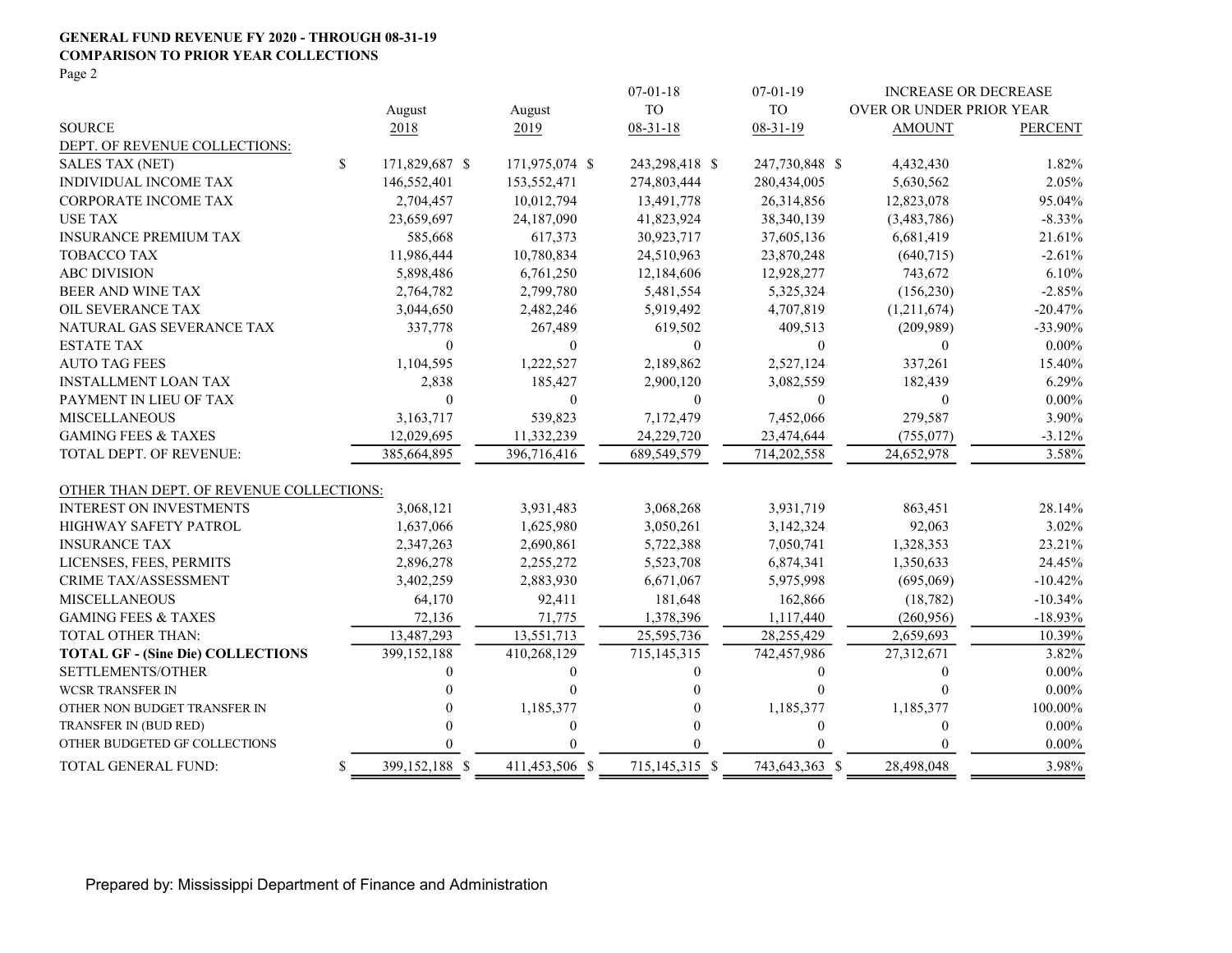#### GENERAL FUND REVENUE FY 2020 - THROUGH 08-31-19 COMPARISON TO PRIOR YEAR COLLECTIONS

Page 2

|                                          |              |                |                  | $07 - 01 - 18$   | $07 - 01 - 19$ | <b>INCREASE OR DECREASE</b> |                |
|------------------------------------------|--------------|----------------|------------------|------------------|----------------|-----------------------------|----------------|
|                                          |              | August         | August           | <b>TO</b>        | <b>TO</b>      | OVER OR UNDER PRIOR YEAR    |                |
| <b>SOURCE</b>                            |              | 2018           | 2019             | $08 - 31 - 18$   | $08 - 31 - 19$ | <b>AMOUNT</b>               | <b>PERCENT</b> |
| DEPT. OF REVENUE COLLECTIONS:            |              |                |                  |                  |                |                             |                |
| <b>SALES TAX (NET)</b>                   | $\mathbb{S}$ | 171,829,687 \$ | 171,975,074 \$   | 243,298,418 \$   | 247,730,848 \$ | 4,432,430                   | 1.82%          |
| INDIVIDUAL INCOME TAX                    |              | 146,552,401    | 153,552,471      | 274,803,444      | 280,434,005    | 5,630,562                   | 2.05%          |
| <b>CORPORATE INCOME TAX</b>              |              | 2,704,457      | 10,012,794       | 13,491,778       | 26,314,856     | 12,823,078                  | 95.04%         |
| <b>USE TAX</b>                           |              | 23,659,697     | 24,187,090       | 41,823,924       | 38,340,139     | (3,483,786)                 | $-8.33\%$      |
| <b>INSURANCE PREMIUM TAX</b>             |              | 585,668        | 617,373          | 30,923,717       | 37,605,136     | 6,681,419                   | 21.61%         |
| <b>TOBACCO TAX</b>                       |              | 11,986,444     | 10,780,834       | 24,510,963       | 23,870,248     | (640,715)                   | $-2.61%$       |
| <b>ABC DIVISION</b>                      |              | 5,898,486      | 6,761,250        | 12,184,606       | 12,928,277     | 743,672                     | 6.10%          |
| BEER AND WINE TAX                        |              | 2,764,782      | 2,799,780        | 5,481,554        | 5,325,324      | (156, 230)                  | $-2.85%$       |
| OIL SEVERANCE TAX                        |              | 3,044,650      | 2,482,246        | 5,919,492        | 4,707,819      | (1,211,674)                 | $-20.47%$      |
| NATURAL GAS SEVERANCE TAX                |              | 337,778        | 267,489          | 619,502          | 409,513        | (209,989)                   | $-33.90\%$     |
| <b>ESTATE TAX</b>                        |              | $\theta$       | $\theta$         | $\theta$         | $\Omega$       | $\theta$                    | $0.00\%$       |
| <b>AUTO TAG FEES</b>                     |              | 1,104,595      | 1,222,527        | 2,189,862        | 2,527,124      | 337,261                     | 15.40%         |
| <b>INSTALLMENT LOAN TAX</b>              |              | 2,838          | 185,427          | 2,900,120        | 3,082,559      | 182,439                     | 6.29%          |
| PAYMENT IN LIEU OF TAX                   |              | $\theta$       | $\mathbf{0}$     | $\boldsymbol{0}$ | $\theta$       | $\theta$                    | $0.00\%$       |
| <b>MISCELLANEOUS</b>                     |              | 3,163,717      | 539,823          | 7,172,479        | 7,452,066      | 279,587                     | 3.90%          |
| <b>GAMING FEES &amp; TAXES</b>           |              | 12,029,695     | 11,332,239       | 24,229,720       | 23,474,644     | (755, 077)                  | $-3.12%$       |
| TOTAL DEPT. OF REVENUE:                  |              | 385,664,895    | 396,716,416      | 689,549,579      | 714,202,558    | 24,652,978                  | 3.58%          |
| OTHER THAN DEPT. OF REVENUE COLLECTIONS: |              |                |                  |                  |                |                             |                |
| <b>INTEREST ON INVESTMENTS</b>           |              | 3,068,121      | 3,931,483        | 3,068,268        | 3,931,719      | 863,451                     | 28.14%         |
| <b>HIGHWAY SAFETY PATROL</b>             |              | 1,637,066      | 1,625,980        | 3,050,261        | 3,142,324      | 92,063                      | 3.02%          |
| <b>INSURANCE TAX</b>                     |              | 2,347,263      | 2,690,861        | 5,722,388        | 7,050,741      | 1,328,353                   | 23.21%         |
| LICENSES, FEES, PERMITS                  |              | 2,896,278      | 2,255,272        | 5,523,708        | 6,874,341      | 1,350,633                   | 24.45%         |
| CRIME TAX/ASSESSMENT                     |              | 3,402,259      | 2,883,930        | 6,671,067        | 5,975,998      | (695,069)                   | $-10.42%$      |
| <b>MISCELLANEOUS</b>                     |              | 64,170         | 92,411           | 181,648          | 162,866        | (18, 782)                   | $-10.34%$      |
| <b>GAMING FEES &amp; TAXES</b>           |              | 72,136         | 71,775           | 1,378,396        | 1,117,440      | (260,956)                   | $-18.93\%$     |
| TOTAL OTHER THAN:                        |              | 13,487,293     | 13,551,713       | 25,595,736       | 28,255,429     | 2,659,693                   | 10.39%         |
| <b>TOTAL GF - (Sine Die) COLLECTIONS</b> |              | 399,152,188    | 410,268,129      | 715, 145, 315    | 742,457,986    | 27,312,671                  | 3.82%          |
| SETTLEMENTS/OTHER                        |              | 0              | $\overline{0}$   | 0                | $\theta$       | $\theta$                    | $0.00\%$       |
| <b>WCSR TRANSFER IN</b>                  |              | 0              | $\Omega$         |                  | $\Omega$       | $\Omega$                    | $0.00\%$       |
| OTHER NON BUDGET TRANSFER IN             |              |                | 1,185,377        |                  | 1,185,377      | 1,185,377                   | 100.00%        |
| TRANSFER IN (BUD RED)                    |              |                | $\boldsymbol{0}$ |                  | $\theta$       | $\theta$                    | $0.00\%$       |
| OTHER BUDGETED GF COLLECTIONS            |              |                |                  |                  |                | $\Omega$                    | $0.00\%$       |
| TOTAL GENERAL FUND:                      | \$           | 399,152,188 \$ | 411,453,506 \$   | 715, 145, 315 \$ | 743,643,363 \$ | 28,498,048                  | 3.98%          |